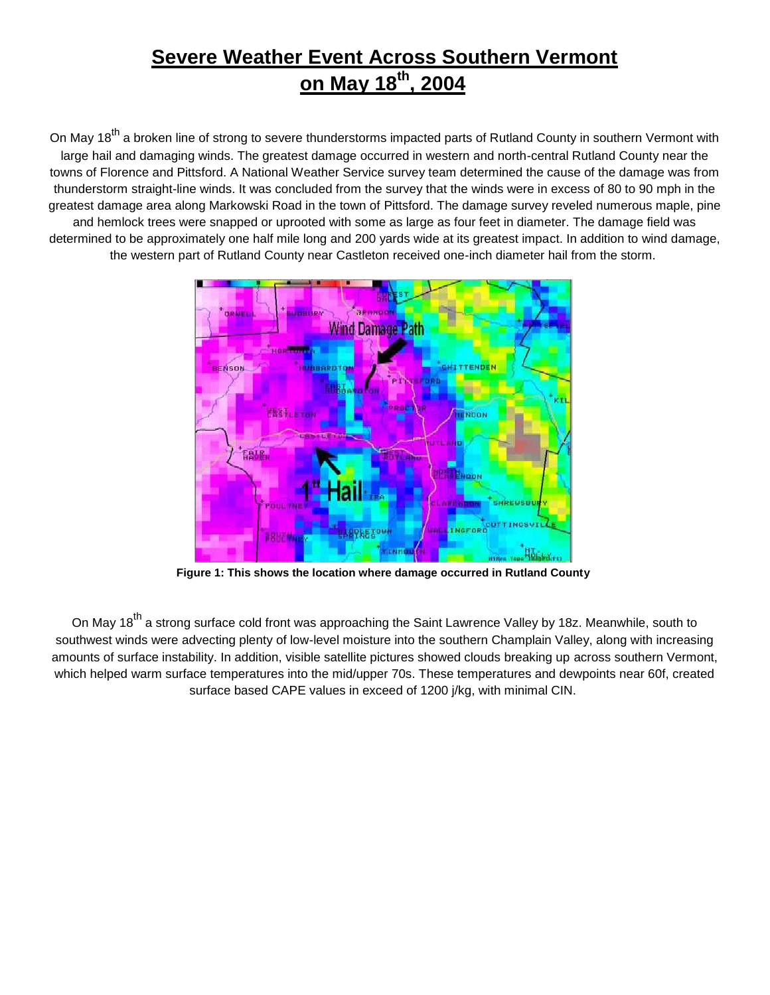## **Severe Weather Event Across Southern Vermont on May 18th, 2004**

On May 18<sup>th</sup> a broken line of strong to severe thunderstorms impacted parts of Rutland County in southern Vermont with large hail and damaging winds. The greatest damage occurred in western and north-central Rutland County near the towns of Florence and Pittsford. A National Weather Service survey team determined the cause of the damage was from thunderstorm straight-line winds. It was concluded from the survey that the winds were in excess of 80 to 90 mph in the greatest damage area along Markowski Road in the town of Pittsford. The damage survey reveled numerous maple, pine and hemlock trees were snapped or uprooted with some as large as four feet in diameter. The damage field was determined to be approximately one half mile long and 200 yards wide at its greatest impact. In addition to wind damage, the western part of Rutland County near Castleton received one-inch diameter hail from the storm.



**Figure 1: This shows the location where damage occurred in Rutland County**

On May 18<sup>th</sup> a strong surface cold front was approaching the Saint Lawrence Valley by 18z. Meanwhile, south to southwest winds were advecting plenty of low-level moisture into the southern Champlain Valley, along with increasing amounts of surface instability. In addition, visible satellite pictures showed clouds breaking up across southern Vermont, which helped warm surface temperatures into the mid/upper 70s. These temperatures and dewpoints near 60f, created surface based CAPE values in exceed of 1200 j/kg, with minimal CIN.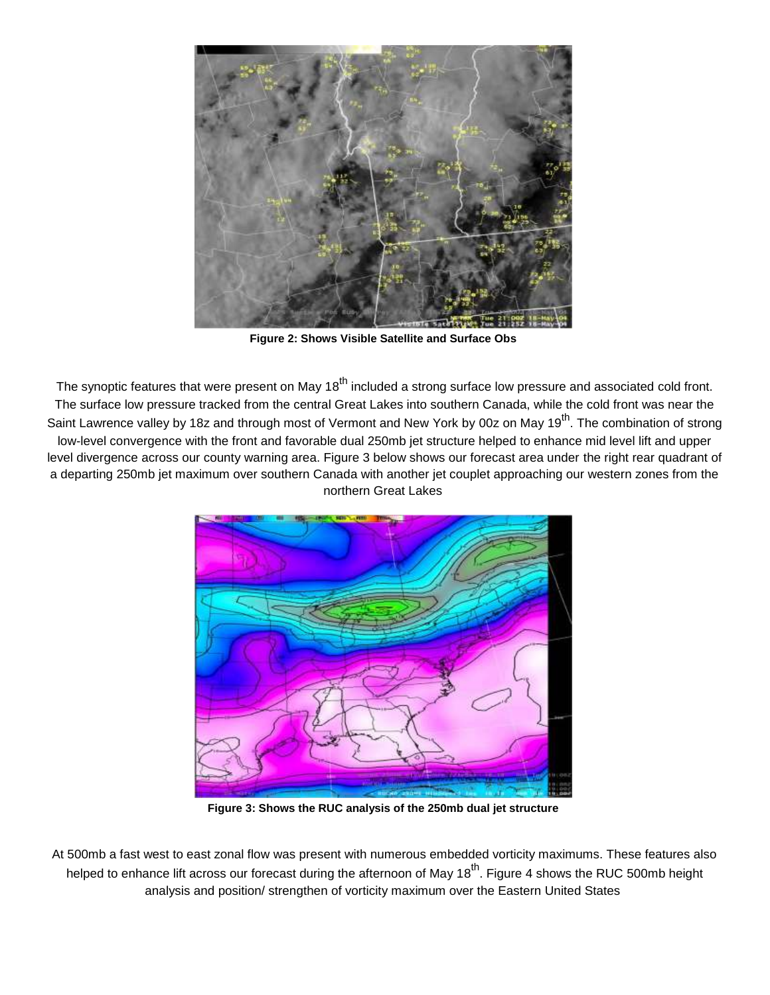

**Figure 2: Shows Visible Satellite and Surface Obs**

The synoptic features that were present on May 18<sup>th</sup> included a strong surface low pressure and associated cold front. The surface low pressure tracked from the central Great Lakes into southern Canada, while the cold front was near the Saint Lawrence valley by 18z and through most of Vermont and New York by 00z on May 19<sup>th</sup>. The combination of strong low-level convergence with the front and favorable dual 250mb jet structure helped to enhance mid level lift and upper level divergence across our county warning area. Figure 3 below shows our forecast area under the right rear quadrant of a departing 250mb jet maximum over southern Canada with another jet couplet approaching our western zones from the northern Great Lakes



**Figure 3: Shows the RUC analysis of the 250mb dual jet structure**

At 500mb a fast west to east zonal flow was present with numerous embedded vorticity maximums. These features also helped to enhance lift across our forecast during the afternoon of May 18<sup>th</sup>. Figure 4 shows the RUC 500mb height analysis and position/ strengthen of vorticity maximum over the Eastern United States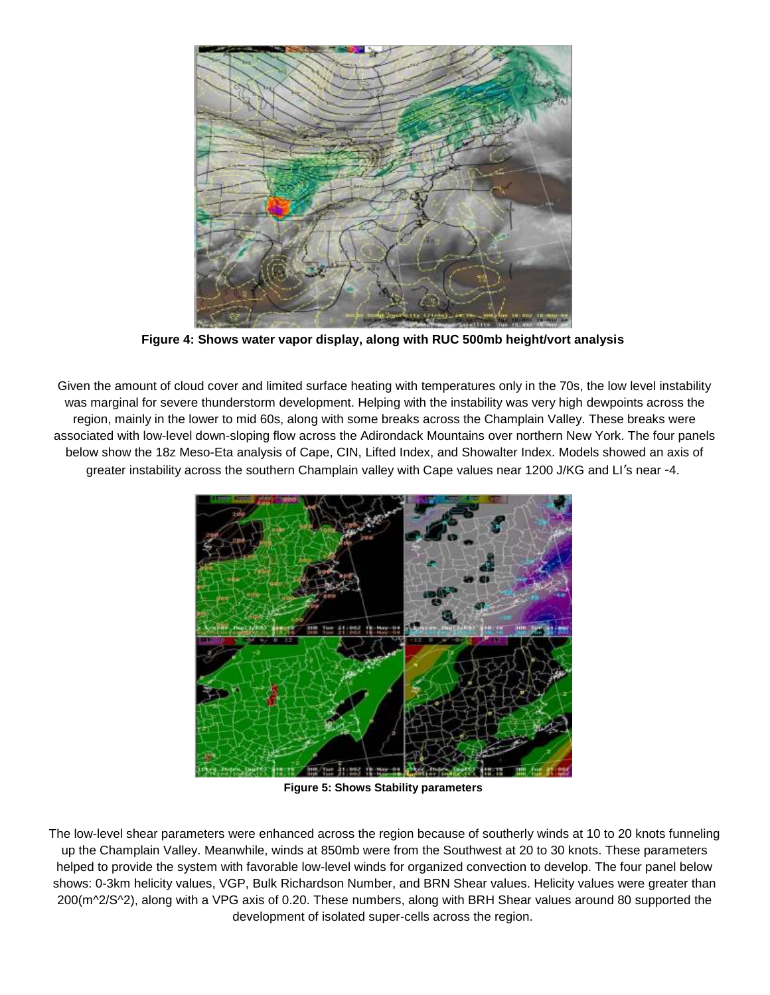

**Figure 4: Shows water vapor display, along with RUC 500mb height/vort analysis**

Given the amount of cloud cover and limited surface heating with temperatures only in the 70s, the low level instability was marginal for severe thunderstorm development. Helping with the instability was very high dewpoints across the region, mainly in the lower to mid 60s, along with some breaks across the Champlain Valley. These breaks were associated with low-level down-sloping flow across the Adirondack Mountains over northern New York. The four panels below show the 18z Meso-Eta analysis of Cape, CIN, Lifted Index, and Showalter Index. Models showed an axis of greater instability across the southern Champlain valley with Cape values near 1200 J/KG and LI's near -4.



**Figure 5: Shows Stability parameters**

The low-level shear parameters were enhanced across the region because of southerly winds at 10 to 20 knots funneling up the Champlain Valley. Meanwhile, winds at 850mb were from the Southwest at 20 to 30 knots. These parameters helped to provide the system with favorable low-level winds for organized convection to develop. The four panel below shows: 0-3km helicity values, VGP, Bulk Richardson Number, and BRN Shear values. Helicity values were greater than 200(m^2/S^2), along with a VPG axis of 0.20. These numbers, along with BRH Shear values around 80 supported the development of isolated super-cells across the region.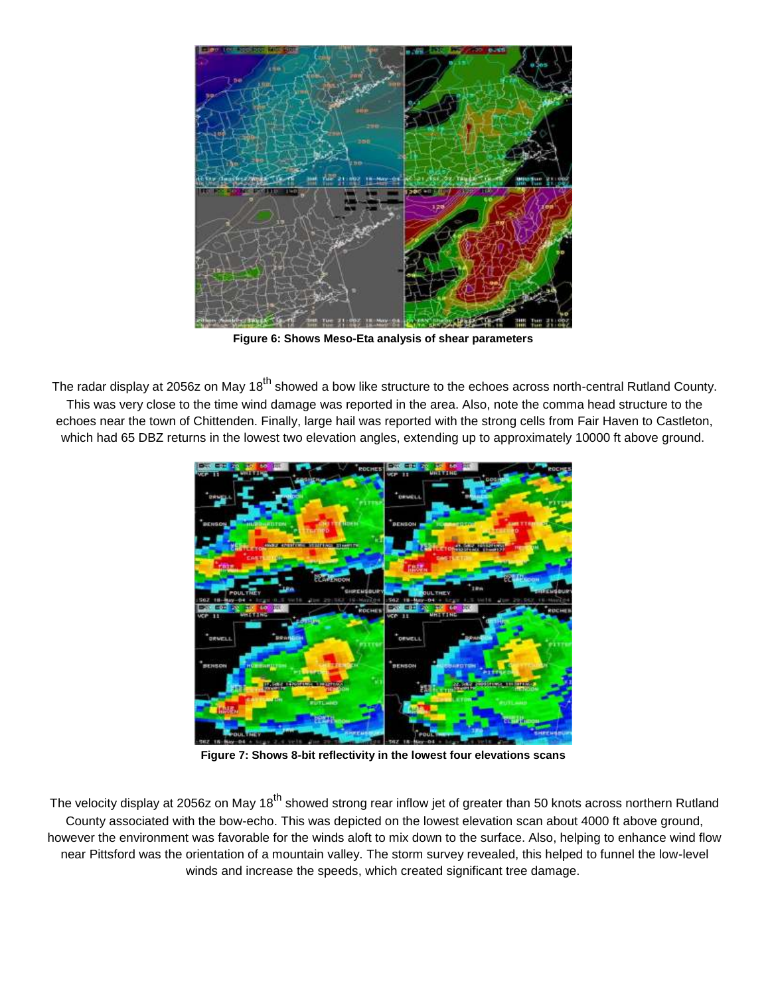

**Figure 6: Shows Meso-Eta analysis of shear parameters**

The radar display at 2056z on May 18<sup>th</sup> showed a bow like structure to the echoes across north-central Rutland County. This was very close to the time wind damage was reported in the area. Also, note the comma head structure to the echoes near the town of Chittenden. Finally, large hail was reported with the strong cells from Fair Haven to Castleton, which had 65 DBZ returns in the lowest two elevation angles, extending up to approximately 10000 ft above ground.



**Figure 7: Shows 8-bit reflectivity in the lowest four elevations scans**

The velocity display at 2056z on May 18<sup>th</sup> showed strong rear inflow jet of greater than 50 knots across northern Rutland County associated with the bow-echo. This was depicted on the lowest elevation scan about 4000 ft above ground, however the environment was favorable for the winds aloft to mix down to the surface. Also, helping to enhance wind flow near Pittsford was the orientation of a mountain valley. The storm survey revealed, this helped to funnel the low-level winds and increase the speeds, which created significant tree damage.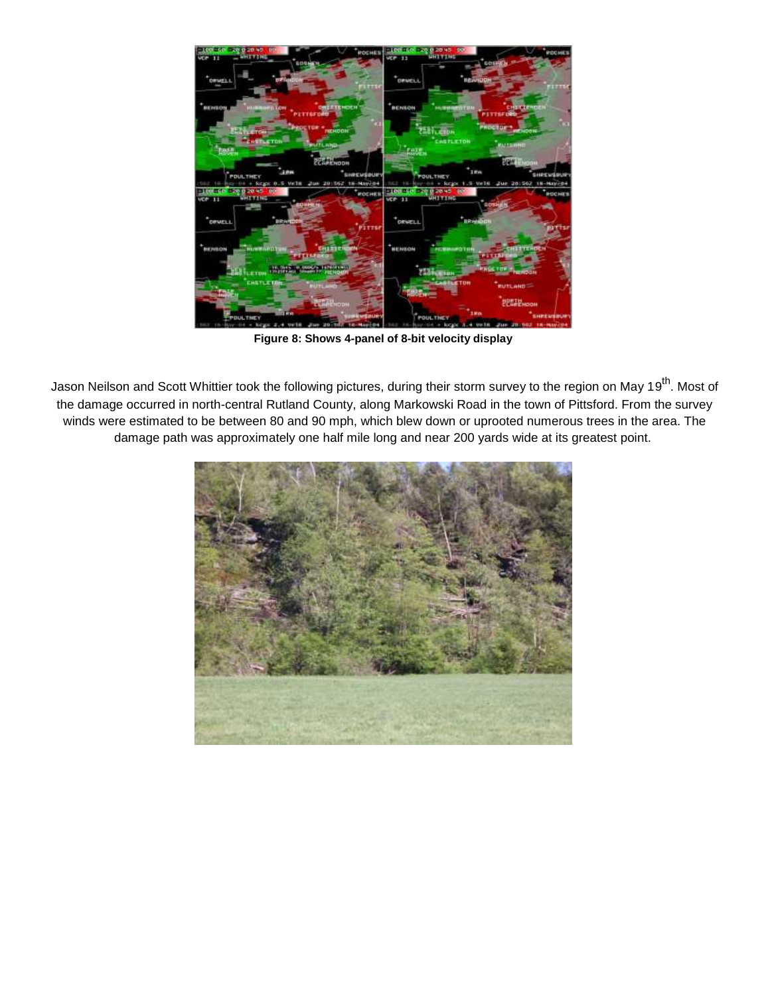

**Figure 8: Shows 4-panel of 8-bit velocity display**

Jason Neilson and Scott Whittier took the following pictures, during their storm survey to the region on May 19<sup>th</sup>. Most of the damage occurred in north-central Rutland County, along Markowski Road in the town of Pittsford. From the survey winds were estimated to be between 80 and 90 mph, which blew down or uprooted numerous trees in the area. The damage path was approximately one half mile long and near 200 yards wide at its greatest point.

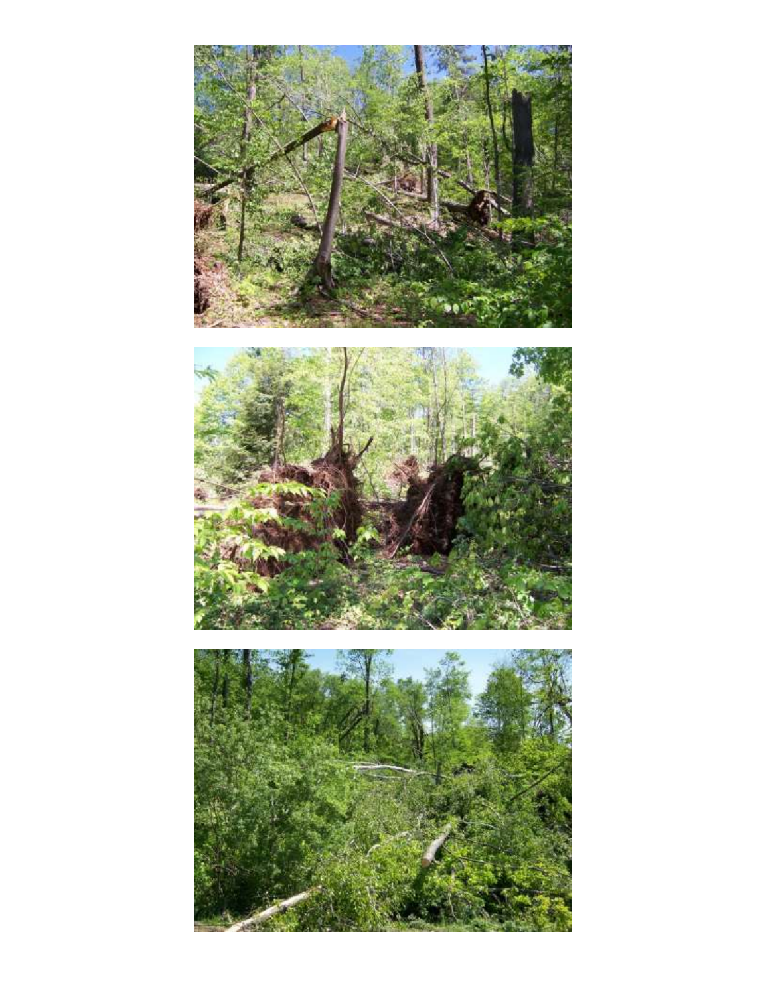